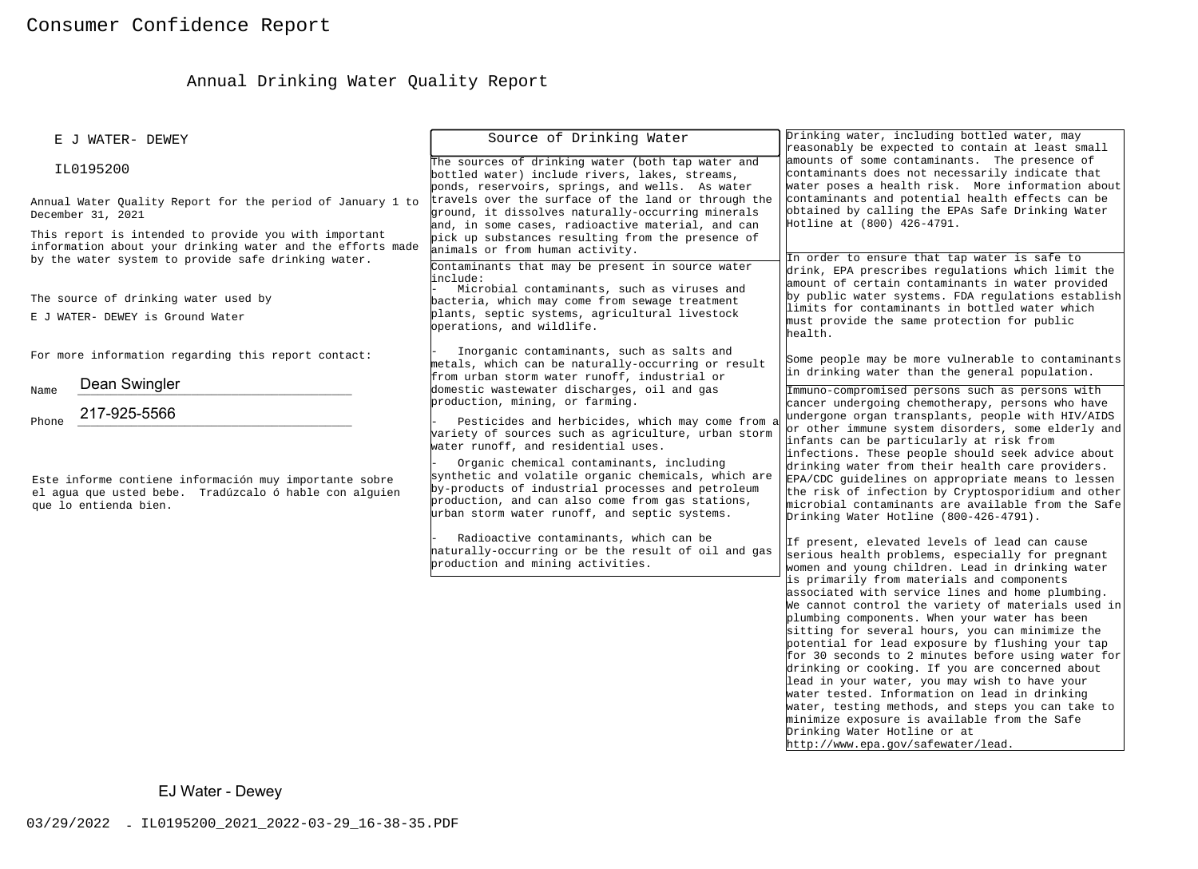# Annual Drinking Water Quality Report

| E J WATER- DEWEY                                                                                                                                                                                                                                              | Source of Drinking Water                                                                                                                                                                                                                                                                                                                                | Drinking water, including bottled water, may<br>reasonably be expected to contain at least small                                                                                                                                                                                                                                                                                                                                                                                                                                                                                                                                                                                 |  |
|---------------------------------------------------------------------------------------------------------------------------------------------------------------------------------------------------------------------------------------------------------------|---------------------------------------------------------------------------------------------------------------------------------------------------------------------------------------------------------------------------------------------------------------------------------------------------------------------------------------------------------|----------------------------------------------------------------------------------------------------------------------------------------------------------------------------------------------------------------------------------------------------------------------------------------------------------------------------------------------------------------------------------------------------------------------------------------------------------------------------------------------------------------------------------------------------------------------------------------------------------------------------------------------------------------------------------|--|
| IL0195200                                                                                                                                                                                                                                                     | The sources of drinking water (both tap water and<br>bottled water) include rivers, lakes, streams,<br>ponds, reservoirs, springs, and wells. As water                                                                                                                                                                                                  | amounts of some contaminants. The presence of<br>contaminants does not necessarily indicate that<br>water poses a health risk. More information about                                                                                                                                                                                                                                                                                                                                                                                                                                                                                                                            |  |
| Annual Water Quality Report for the period of January 1 to<br>December 31, 2021<br>This report is intended to provide you with important<br>information about your drinking water and the efforts made<br>by the water system to provide safe drinking water. | travels over the surface of the land or through the<br>ground, it dissolves naturally-occurring minerals<br>and, in some cases, radioactive material, and can<br>pick up substances resulting from the presence of<br>animals or from human activity.                                                                                                   | contaminants and potential health effects can be<br>obtained by calling the EPAs Safe Drinking Water<br>Hotline at (800) 426-4791.<br>In order to ensure that tap water is safe to                                                                                                                                                                                                                                                                                                                                                                                                                                                                                               |  |
| The source of drinking water used by<br>E J WATER- DEWEY is Ground Water<br>For more information regarding this report contact:                                                                                                                               | Contaminants that may be present in source water<br>include:<br>Microbial contaminants, such as viruses and<br>bacteria, which may come from sewage treatment<br>plants, septic systems, agricultural livestock<br>operations, and wildlife.<br>Inorganic contaminants, such as salts and                                                               | drink, EPA prescribes regulations which limit the<br>amount of certain contaminants in water provided<br>by public water systems. FDA regulations establish<br>limits for contaminants in bottled water which<br>must provide the same protection for public<br>health.                                                                                                                                                                                                                                                                                                                                                                                                          |  |
| Dean Swingler                                                                                                                                                                                                                                                 | metals, which can be naturally-occurring or result<br>from urban storm water runoff, industrial or                                                                                                                                                                                                                                                      | Some people may be more vulnerable to contaminants<br>in drinking water than the general population.                                                                                                                                                                                                                                                                                                                                                                                                                                                                                                                                                                             |  |
| Name<br>217-925-5566<br>Phone                                                                                                                                                                                                                                 | domestic wastewater discharges, oil and gas<br>production, mining, or farming.<br>Pesticides and herbicides, which may come from a                                                                                                                                                                                                                      | Immuno-compromised persons such as persons with<br>cancer undergoing chemotherapy, persons who have<br>undergone organ transplants, people with HIV/AIDS<br>or other immune system disorders, some elderly and                                                                                                                                                                                                                                                                                                                                                                                                                                                                   |  |
| Este informe contiene información muy importante sobre<br>el aqua que usted bebe. Tradúzcalo ó hable con alquien<br>que lo entienda bien.                                                                                                                     | variety of sources such as agriculture, urban storm<br>water runoff, and residential uses.<br>Organic chemical contaminants, including<br>synthetic and volatile organic chemicals, which are<br>by-products of industrial processes and petroleum<br>production, and can also come from gas stations,<br>urban storm water runoff, and septic systems. | infants can be particularly at risk from<br>infections. These people should seek advice about<br>drinking water from their health care providers.<br>EPA/CDC guidelines on appropriate means to lessen<br>the risk of infection by Cryptosporidium and other<br>microbial contaminants are available from the Safe<br>Drinking Water Hotline (800-426-4791).                                                                                                                                                                                                                                                                                                                     |  |
|                                                                                                                                                                                                                                                               | Radioactive contaminants, which can be<br>haturally-occurring or be the result of oil and gas<br>production and mining activities.                                                                                                                                                                                                                      | If present, elevated levels of lead can cause<br>serious health problems, especially for pregnant<br>women and young children. Lead in drinking water<br>is primarily from materials and components<br>associated with service lines and home plumbing.<br>We cannot control the variety of materials used in<br>plumbing components. When your water has been<br>sitting for several hours, you can minimize the<br>potential for lead exposure by flushing your tap<br>for 30 seconds to 2 minutes before using water for<br>drinking or cooking. If you are concerned about<br>lead in your water, you may wish to have your<br>water tested. Information on lead in drinking |  |
|                                                                                                                                                                                                                                                               |                                                                                                                                                                                                                                                                                                                                                         | water, testing methods, and steps you can take to<br>minimize exposure is available from the Safe<br>Drinking Water Hotline or at<br>http://www.epa.gov/safewater/lead.                                                                                                                                                                                                                                                                                                                                                                                                                                                                                                          |  |
| EJ Water - Dewey                                                                                                                                                                                                                                              |                                                                                                                                                                                                                                                                                                                                                         |                                                                                                                                                                                                                                                                                                                                                                                                                                                                                                                                                                                                                                                                                  |  |
| 03/29/2022 - IL0195200_2021_2022-03-29_16-38-35.PDF                                                                                                                                                                                                           |                                                                                                                                                                                                                                                                                                                                                         |                                                                                                                                                                                                                                                                                                                                                                                                                                                                                                                                                                                                                                                                                  |  |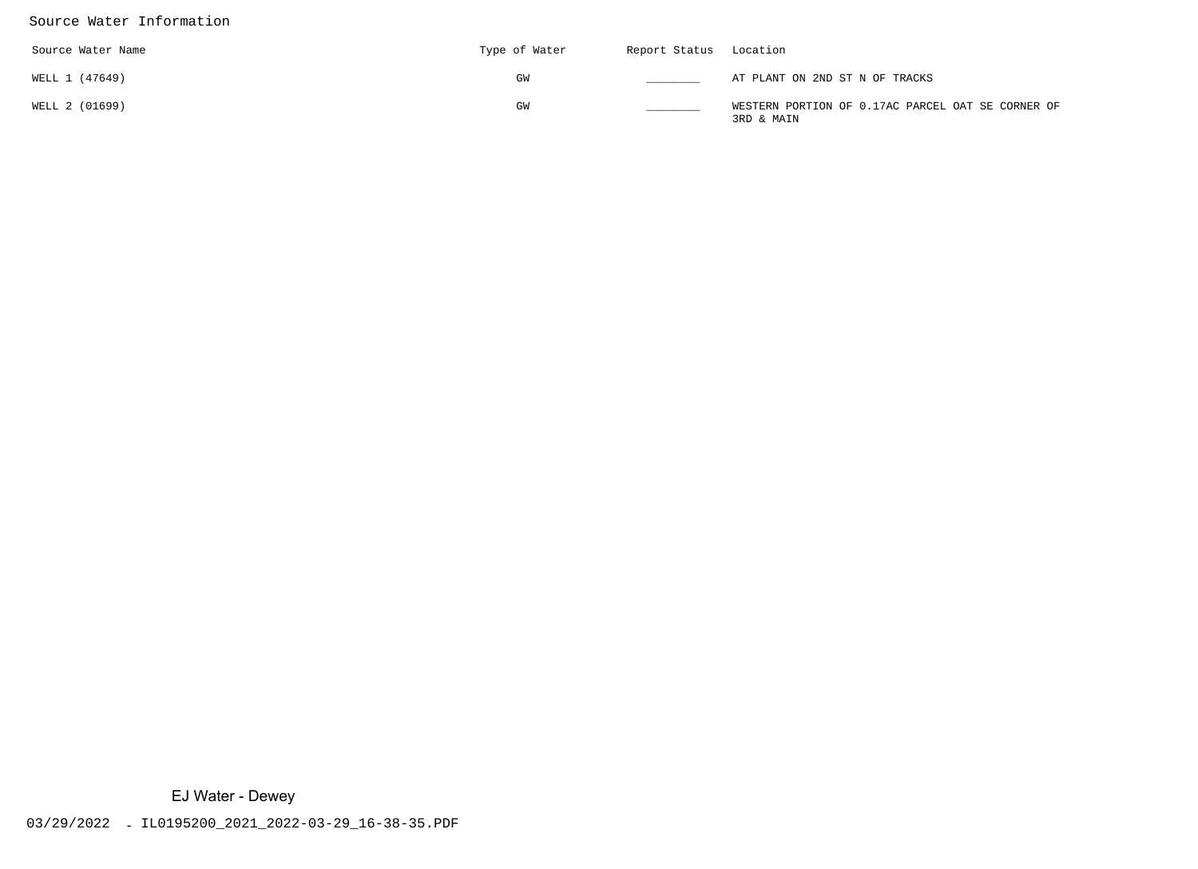### Source Water Information

| Source Water Name | Type of Water | Report Status Location |                                                                 |
|-------------------|---------------|------------------------|-----------------------------------------------------------------|
| WELL 1 (47649)    | GW            |                        | AT PLANT ON 2ND ST N OF TRACKS                                  |
| WELL 2 (01699)    | GW            |                        | WESTERN PORTION OF 0.17AC PARCEL OAT SE CORNER OF<br>3RD & MAIN |

EJ Water - Dewey<br>03/29/2022 - IL0195200\_2021\_2022-03-29\_16-38-35.PDF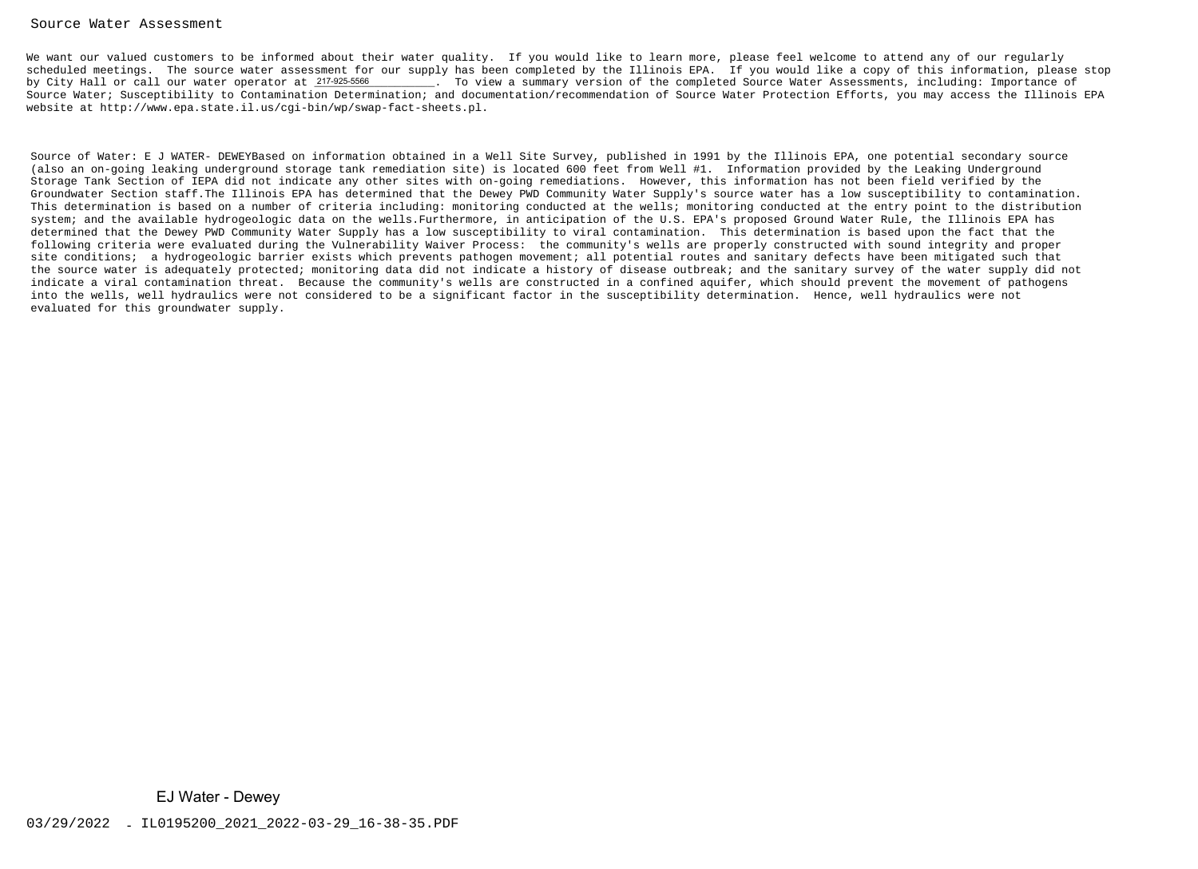#### Source Water Assessment

We want our valued customers to be informed about their water quality. If you would like to learn more, please feel welcome to attend any of our regularly scheduled meetings. The source water assessment for our supply has been completed by the Illinois EPA. If you would like a copy of this information, please stop. To view a summary version of the completed Source Water Assessments, including: Importance of Source Water; Susceptibility to Contamination Determination; and documentation/recommendation of Source Water Protection Efforts, you may access the Illinois EPAwebsite at http://www.epa.state.il.us/cgi-bin/wp/swap-fact-sheets.pl.by City Hall or call our water operator at 217-925-5566

Source of Water: E J WATER- DEWEYBased on information obtained in a Well Site Survey, published in 1991 by the Illinois EPA, one potential secondary source(also an on-going leaking underground storage tank remediation site) is located 600 feet from Well #1. Information provided by the Leaking Underground Storage Tank Section of IEPA did not indicate any other sites with on-going remediations. However, this information has not been field verified by the Groundwater Section staff.The Illinois EPA has determined that the Dewey PWD Community Water Supply's source water has a low susceptibility to contamination. This determination is based on a number of criteria including: monitoring conducted at the wells; monitoring conducted at the entry point to the distributionsystem; and the available hydrogeologic data on the wells.Furthermore, in anticipation of the U.S. EPA's proposed Ground Water Rule, the Illinois EPA has determined that the Dewey PWD Community Water Supply has a low susceptibility to viral contamination. This determination is based upon the fact that the following criteria were evaluated during the Vulnerability Waiver Process: the community's wells are properly constructed with sound integrity and proper site conditions; a hydrogeologic barrier exists which prevents pathogen movement; all potential routes and sanitary defects have been mitigated such that the source water is adequately protected; monitoring data did not indicate a history of disease outbreak; and the sanitary survey of the water supply did notindicate a viral contamination threat. Because the community's wells are constructed in a confined aquifer, which should prevent the movement of pathogensinto the wells, well hydraulics were not considered to be a significant factor in the susceptibility determination. Hence, well hydraulics were notevaluated for this groundwater supply.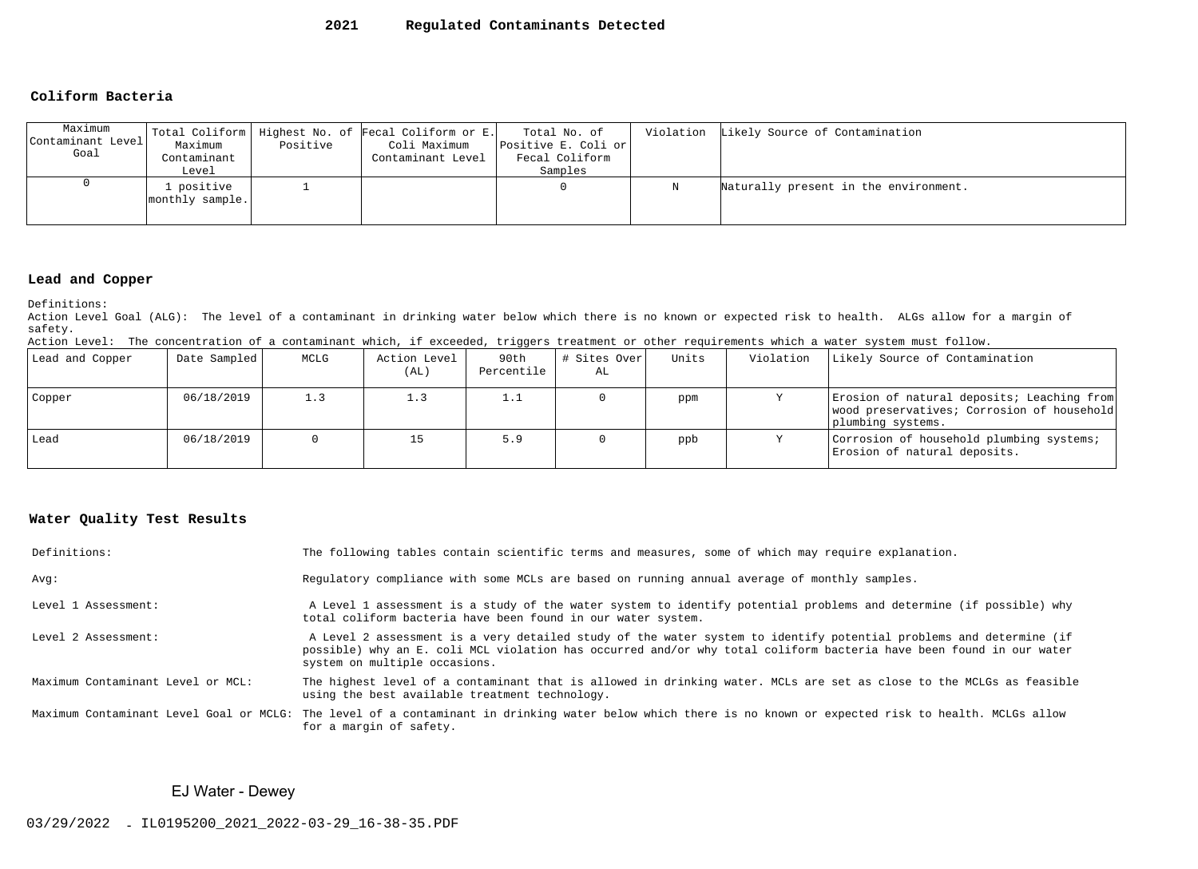#### **2021Regulated Contaminants Detected**

#### **Coliform Bacteria**

| Maximum<br>Contaminant Level<br>Goal | Maximum<br>Contaminant<br>Level | Positive | Total Coliform   Highest No. of Fecal Coliform or E.<br>Coli Maximum<br>Contaminant Level | Total No. of<br>Positive E. Coli or<br>Fecal Coliform<br>Samples |   | Violation Likely Source of Contamination |
|--------------------------------------|---------------------------------|----------|-------------------------------------------------------------------------------------------|------------------------------------------------------------------|---|------------------------------------------|
|                                      | . positive<br>monthly sample.   |          |                                                                                           |                                                                  | Ν | Naturally present in the environment.    |

#### **Lead and Copper**

Definitions:

 Action Level Goal (ALG): The level of a contaminant in drinking water below which there is no known or expected risk to health. ALGs allow for a margin ofsafety.

|  |  |  |  |  |  |  | Action Level: The concentration of a contaminant which, if exceeded, triggers treatment or other requirements which a water system must follow. |  |
|--|--|--|--|--|--|--|-------------------------------------------------------------------------------------------------------------------------------------------------|--|
|--|--|--|--|--|--|--|-------------------------------------------------------------------------------------------------------------------------------------------------|--|

| Lead and Copper | Date Sampled | MCLG | Action Level<br>(AL) | 90th<br>Percentile | # Sites Over<br>AL | Units | Violation | Likely Source of Contamination                                                                                |
|-----------------|--------------|------|----------------------|--------------------|--------------------|-------|-----------|---------------------------------------------------------------------------------------------------------------|
| Copper          | 06/18/2019   | 1.3  | 1.3                  | 1.1                |                    | ppm   |           | Erosion of natural deposits; Leaching from<br>wood preservatives; Corrosion of household<br>plumbing systems. |
| Lead            | 06/18/2019   |      | 15                   | 5.9                |                    | ppb   |           | Corrosion of household plumbing systems;<br>Erosion of natural deposits.                                      |

### **Water Quality Test Results**

| Definitions:                      | The following tables contain scientific terms and measures, some of which may require explanation.                                                                                                                                                                         |
|-----------------------------------|----------------------------------------------------------------------------------------------------------------------------------------------------------------------------------------------------------------------------------------------------------------------------|
| Avq:                              | Regulatory compliance with some MCLs are based on running annual average of monthly samples.                                                                                                                                                                               |
| Level 1 Assessment:               | A Level 1 assessment is a study of the water system to identify potential problems and determine (if possible) why<br>total coliform bacteria have been found in our water system.                                                                                         |
| Level 2 Assessment:               | A Level 2 assessment is a very detailed study of the water system to identify potential problems and determine (if<br>possible) why an E. coli MCL violation has occurred and/or why total coliform bacteria have been found in our water<br>system on multiple occasions. |
| Maximum Contaminant Level or MCL: | The highest level of a contaminant that is allowed in drinking water. MCLs are set as close to the MCLGs as feasible<br>using the best available treatment technology.                                                                                                     |
|                                   | Maximum Contaminant Level Goal or MCLG: The level of a contaminant in drinking water below which there is no known or expected risk to health. MCLGs allow<br>for a margin of safety.                                                                                      |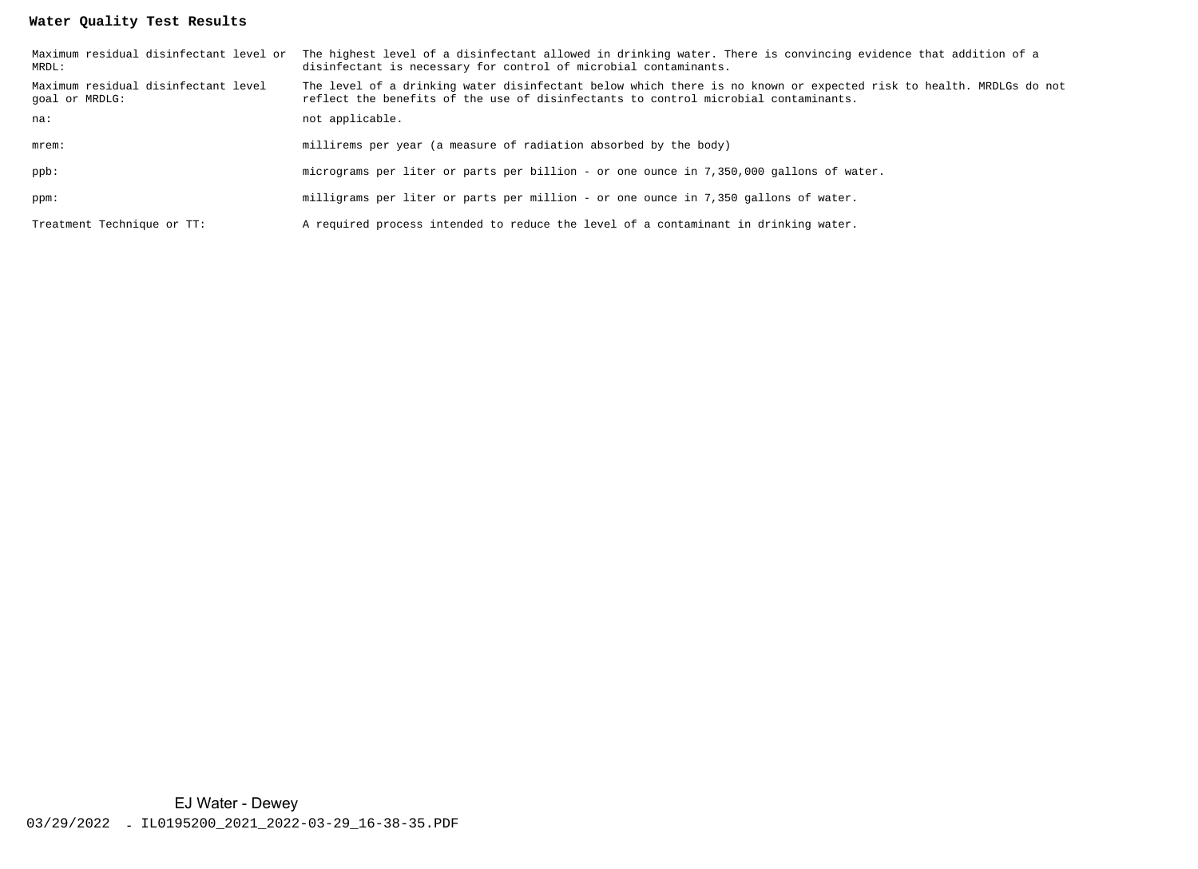# **Water Quality Test Results**

| MRDL:                                                 | Maximum residual disinfectant level or The highest level of a disinfectant allowed in drinking water. There is convincing evidence that addition of a<br>disinfectant is necessary for control of microbial contaminants. |
|-------------------------------------------------------|---------------------------------------------------------------------------------------------------------------------------------------------------------------------------------------------------------------------------|
| Maximum residual disinfectant level<br>goal or MRDLG: | The level of a drinking water disinfectant below which there is no known or expected risk to health. MRDLGs do not<br>reflect the benefits of the use of disinfectants to control microbial contaminants.                 |
| na:                                                   | not applicable.                                                                                                                                                                                                           |
| $m$ rem $:$                                           | millirems per year (a measure of radiation absorbed by the body)                                                                                                                                                          |
| ppb:                                                  | micrograms per liter or parts per billion - or one ounce in 7,350,000 gallons of water.                                                                                                                                   |
| ppm:                                                  | milligrams per liter or parts per million - or one ounce in 7,350 gallons of water.                                                                                                                                       |
| Treatment Technique or TT:                            | A required process intended to reduce the level of a contaminant in drinking water.                                                                                                                                       |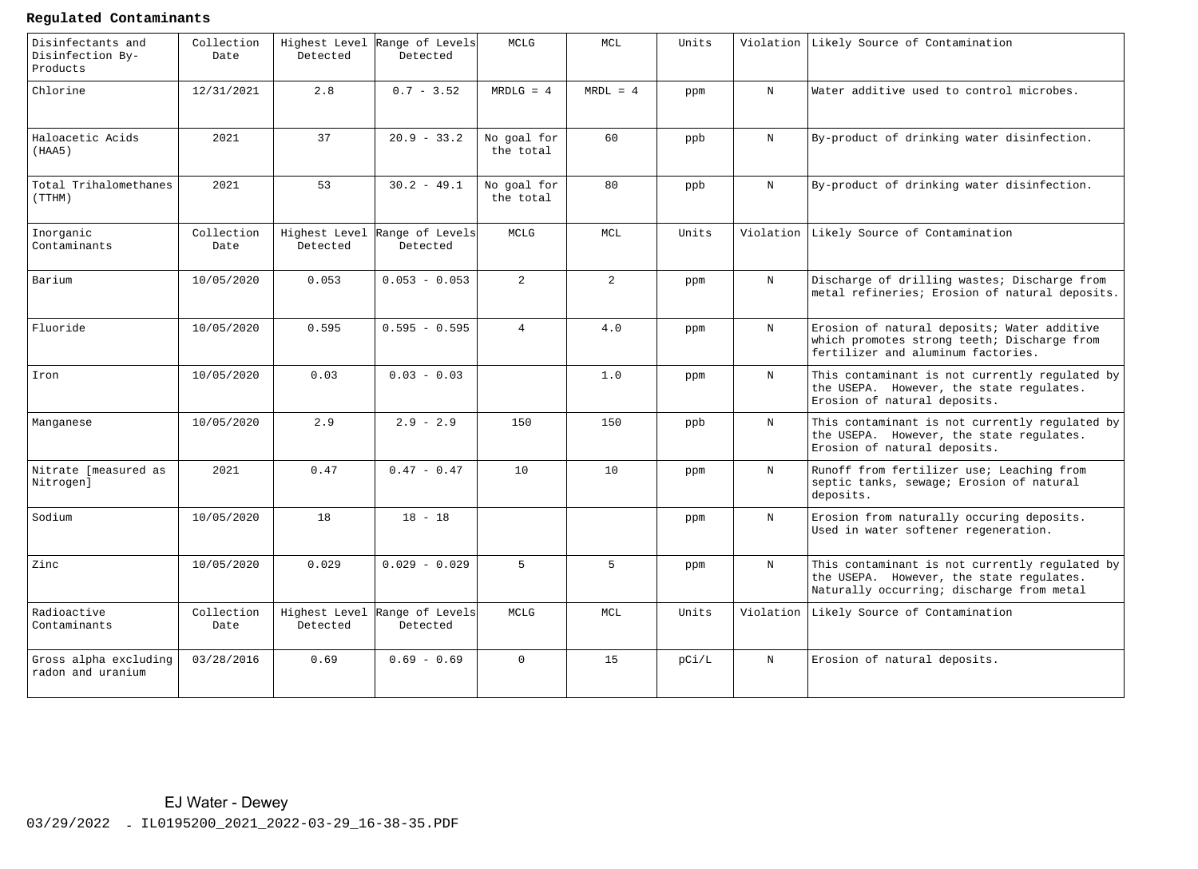# **Regulated Contaminants**

| Disinfectants and<br>Disinfection By-<br>Products | Collection<br>Date | Highest Level<br>Detected | Range of Levels<br>Detected               | MCLG                     | MCL            | Units |              | Violation Likely Source of Contamination                                                                                                |
|---------------------------------------------------|--------------------|---------------------------|-------------------------------------------|--------------------------|----------------|-------|--------------|-----------------------------------------------------------------------------------------------------------------------------------------|
| Chlorine                                          | 12/31/2021         | 2.8                       | $0.7 - 3.52$                              | $MRDLG = 4$              | $MRDL = 4$     | ppm   | $_{\rm N}$   | Water additive used to control microbes.                                                                                                |
| Haloacetic Acids<br>(HAA5)                        | 2021               | 37                        | $20.9 - 33.2$                             | No goal for<br>the total | 60             | ppb   | $_{\rm N}$   | By-product of drinking water disinfection.                                                                                              |
| Total Trihalomethanes<br>(TTHM)                   | 2021               | 53                        | $30.2 - 49.1$                             | No goal for<br>the total | 80             | ppb   | $_{\rm N}$   | By-product of drinking water disinfection.                                                                                              |
| Inorganic<br>Contaminants                         | Collection<br>Date | Detected                  | Highest Level Range of Levels<br>Detected | MCLG                     | MCL            | Units |              | Violation Likely Source of Contamination                                                                                                |
| Barium                                            | 10/05/2020         | 0.053                     | $0.053 - 0.053$                           | $\overline{a}$           | $\overline{2}$ | ppm   | $_{\rm N}$   | Discharge of drilling wastes; Discharge from<br>metal refineries; Erosion of natural deposits.                                          |
| Fluoride                                          | 10/05/2020         | 0.595                     | $0.595 - 0.595$                           | $\overline{4}$           | 4.0            | ppm   | $_{\rm N}$   | Erosion of natural deposits; Water additive<br>which promotes strong teeth; Discharge from<br>fertilizer and aluminum factories.        |
| Iron                                              | 10/05/2020         | 0.03                      | $0.03 - 0.03$                             |                          | 1.0            | ppm   | $_{\rm N}$   | This contaminant is not currently regulated by<br>the USEPA. However, the state regulates.<br>Erosion of natural deposits.              |
| Manganese                                         | 10/05/2020         | 2.9                       | $2.9 - 2.9$                               | 150                      | 150            | ppb   | $\, {\rm N}$ | This contaminant is not currently regulated by<br>the USEPA. However, the state regulates.<br>Erosion of natural deposits.              |
| Nitrate [measured as<br>Nitrogen]                 | 2021               | 0.47                      | $0.47 - 0.47$                             | 10                       | 10             | ppm   | $\mathbf N$  | Runoff from fertilizer use; Leaching from<br>septic tanks, sewage; Erosion of natural<br>deposits.                                      |
| Sodium                                            | 10/05/2020         | 18                        | $18 - 18$                                 |                          |                | ppm   | $_{\rm N}$   | Erosion from naturally occuring deposits.<br>Used in water softener regeneration.                                                       |
| Zinc                                              | 10/05/2020         | 0.029                     | $0.029 - 0.029$                           | $5^{\circ}$              | $5^{\circ}$    | ppm   | $_{\rm N}$   | This contaminant is not currently regulated by<br>the USEPA. However, the state regulates.<br>Naturally occurring; discharge from metal |
| Radioactive<br>Contaminants                       | Collection<br>Date | Detected                  | Highest Level Range of Levels<br>Detected | MCLG                     | MCL.           | Units |              | Violation Likely Source of Contamination                                                                                                |
| Gross alpha excluding<br>radon and uranium        | 03/28/2016         | 0.69                      | $0.69 - 0.69$                             | $\Omega$                 | 15             | pCi/L | $_{\rm N}$   | Erosion of natural deposits.                                                                                                            |